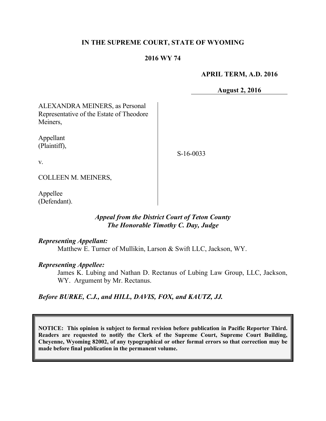## **IN THE SUPREME COURT, STATE OF WYOMING**

## **2016 WY 74**

#### **APRIL TERM, A.D. 2016**

**August 2, 2016**

ALEXANDRA MEINERS, as Personal Representative of the Estate of Theodore Meiners,

Appellant (Plaintiff),

S-16-0033

v.

COLLEEN M. MEINERS,

Appellee (Defendant).

## *Appeal from the District Court of Teton County The Honorable Timothy C. Day, Judge*

## *Representing Appellant:*

Matthew E. Turner of Mullikin, Larson & Swift LLC, Jackson, WY.

## *Representing Appellee:*

James K. Lubing and Nathan D. Rectanus of Lubing Law Group, LLC, Jackson, WY. Argument by Mr. Rectanus.

## *Before BURKE, C.J., and HILL, DAVIS, FOX, and KAUTZ, JJ.*

**NOTICE: This opinion is subject to formal revision before publication in Pacific Reporter Third. Readers are requested to notify the Clerk of the Supreme Court, Supreme Court Building, Cheyenne, Wyoming 82002, of any typographical or other formal errors so that correction may be made before final publication in the permanent volume.**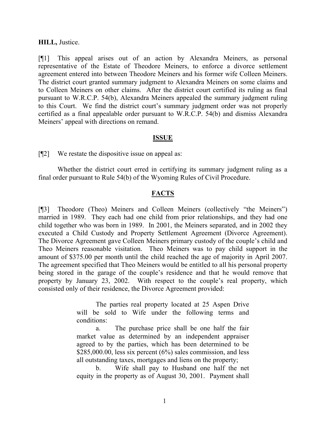#### **HILL,** Justice.

[¶1] This appeal arises out of an action by Alexandra Meiners, as personal representative of the Estate of Theodore Meiners, to enforce a divorce settlement agreement entered into between Theodore Meiners and his former wife Colleen Meiners. The district court granted summary judgment to Alexandra Meiners on some claims and to Colleen Meiners on other claims. After the district court certified its ruling as final pursuant to W.R.C.P. 54(b), Alexandra Meiners appealed the summary judgment ruling to this Court. We find the district court's summary judgment order was not properly certified as a final appealable order pursuant to W.R.C.P. 54(b) and dismiss Alexandra Meiners' appeal with directions on remand.

## **ISSUE**

[¶2] We restate the dispositive issue on appeal as:

Whether the district court erred in certifying its summary judgment ruling as a final order pursuant to Rule 54(b) of the Wyoming Rules of Civil Procedure.

#### **FACTS**

[¶3] Theodore (Theo) Meiners and Colleen Meiners (collectively "the Meiners") married in 1989. They each had one child from prior relationships, and they had one child together who was born in 1989. In 2001, the Meiners separated, and in 2002 they executed a Child Custody and Property Settlement Agreement (Divorce Agreement). The Divorce Agreement gave Colleen Meiners primary custody of the couple's child and Theo Meiners reasonable visitation. Theo Meiners was to pay child support in the amount of \$375.00 per month until the child reached the age of majority in April 2007. The agreement specified that Theo Meiners would be entitled to all his personal property being stored in the garage of the couple's residence and that he would remove that property by January 23, 2002. With respect to the couple's real property, which consisted only of their residence, the Divorce Agreement provided:

> The parties real property located at 25 Aspen Drive will be sold to Wife under the following terms and conditions:

> a. The purchase price shall be one half the fair market value as determined by an independent appraiser agreed to by the parties, which has been determined to be \$285,000.00, less six percent (6%) sales commission, and less all outstanding taxes, mortgages and liens on the property;

> b. Wife shall pay to Husband one half the net equity in the property as of August 30, 2001. Payment shall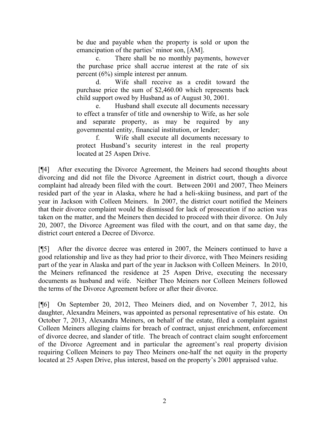be due and payable when the property is sold or upon the emancipation of the parties' minor son, [AM].

c. There shall be no monthly payments, however the purchase price shall accrue interest at the rate of six percent (6%) simple interest per annum.

d. Wife shall receive as a credit toward the purchase price the sum of \$2,460.00 which represents back child support owed by Husband as of August 30, 2001.

e. Husband shall execute all documents necessary to effect a transfer of title and ownership to Wife, as her sole and separate property, as may be required by any governmental entity, financial institution, or lender;

f. Wife shall execute all documents necessary to protect Husband's security interest in the real property located at 25 Aspen Drive.

[¶4] After executing the Divorce Agreement, the Meiners had second thoughts about divorcing and did not file the Divorce Agreement in district court, though a divorce complaint had already been filed with the court. Between 2001 and 2007, Theo Meiners resided part of the year in Alaska, where he had a heli-skiing business, and part of the year in Jackson with Colleen Meiners. In 2007, the district court notified the Meiners that their divorce complaint would be dismissed for lack of prosecution if no action was taken on the matter, and the Meiners then decided to proceed with their divorce. On July 20, 2007, the Divorce Agreement was filed with the court, and on that same day, the district court entered a Decree of Divorce.

[¶5] After the divorce decree was entered in 2007, the Meiners continued to have a good relationship and live as they had prior to their divorce, with Theo Meiners residing part of the year in Alaska and part of the year in Jackson with Colleen Meiners. In 2010, the Meiners refinanced the residence at 25 Aspen Drive, executing the necessary documents as husband and wife. Neither Theo Meiners nor Colleen Meiners followed the terms of the Divorce Agreement before or after their divorce.

[¶6] On September 20, 2012, Theo Meiners died, and on November 7, 2012, his daughter, Alexandra Meiners, was appointed as personal representative of his estate. On October 7, 2013, Alexandra Meiners, on behalf of the estate, filed a complaint against Colleen Meiners alleging claims for breach of contract, unjust enrichment, enforcement of divorce decree, and slander of title. The breach of contract claim sought enforcement of the Divorce Agreement and in particular the agreement's real property division requiring Colleen Meiners to pay Theo Meiners one-half the net equity in the property located at 25 Aspen Drive, plus interest, based on the property's 2001 appraised value.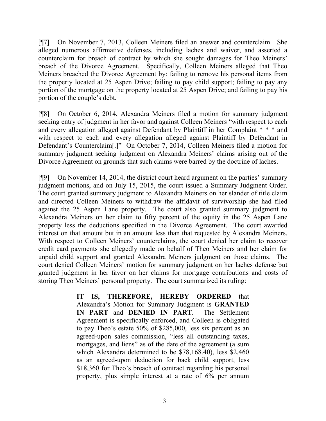[¶7] On November 7, 2013, Colleen Meiners filed an answer and counterclaim. She alleged numerous affirmative defenses, including laches and waiver, and asserted a counterclaim for breach of contract by which she sought damages for Theo Meiners' breach of the Divorce Agreement. Specifically, Colleen Meiners alleged that Theo Meiners breached the Divorce Agreement by: failing to remove his personal items from the property located at 25 Aspen Drive; failing to pay child support; failing to pay any portion of the mortgage on the property located at 25 Aspen Drive; and failing to pay his portion of the couple's debt.

[¶8] On October 6, 2014, Alexandra Meiners filed a motion for summary judgment seeking entry of judgment in her favor and against Colleen Meiners "with respect to each and every allegation alleged against Defendant by Plaintiff in her Complaint \* \* \* and with respect to each and every allegation alleged against Plaintiff by Defendant in Defendant's Counterclaim[.]" On October 7, 2014, Colleen Meiners filed a motion for summary judgment seeking judgment on Alexandra Meiners' claims arising out of the Divorce Agreement on grounds that such claims were barred by the doctrine of laches.

[¶9] On November 14, 2014, the district court heard argument on the parties' summary judgment motions, and on July 15, 2015, the court issued a Summary Judgment Order. The court granted summary judgment to Alexandra Meiners on her slander of title claim and directed Colleen Meiners to withdraw the affidavit of survivorship she had filed against the 25 Aspen Lane property. The court also granted summary judgment to Alexandra Meiners on her claim to fifty percent of the equity in the 25 Aspen Lane property less the deductions specified in the Divorce Agreement. The court awarded interest on that amount but in an amount less than that requested by Alexandra Meiners. With respect to Colleen Meiners' counterclaims, the court denied her claim to recover credit card payments she allegedly made on behalf of Theo Meiners and her claim for unpaid child support and granted Alexandra Meiners judgment on those claims. The court denied Colleen Meiners' motion for summary judgment on her laches defense but granted judgment in her favor on her claims for mortgage contributions and costs of storing Theo Meiners' personal property. The court summarized its ruling:

> **IT IS, THEREFORE, HEREBY ORDERED** that Alexandra's Motion for Summary Judgment is **GRANTED IN PART** and **DENIED IN PART**. The Settlement Agreement is specifically enforced, and Colleen is obligated to pay Theo's estate 50% of \$285,000, less six percent as an agreed-upon sales commission, "less all outstanding taxes, mortgages, and liens" as of the date of the agreement (a sum which Alexandra determined to be \$78,168.40), less \$2,460 as an agreed-upon deduction for back child support, less \$18,360 for Theo's breach of contract regarding his personal property, plus simple interest at a rate of 6% per annum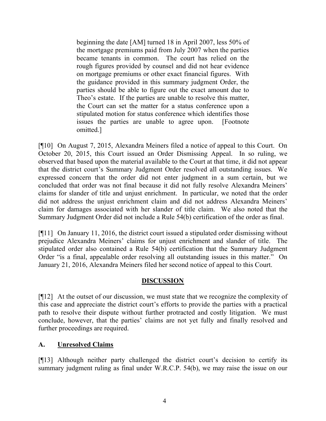beginning the date [AM] turned 18 in April 2007, less 50% of the mortgage premiums paid from July 2007 when the parties became tenants in common. The court has relied on the rough figures provided by counsel and did not hear evidence on mortgage premiums or other exact financial figures. With the guidance provided in this summary judgment Order, the parties should be able to figure out the exact amount due to Theo's estate. If the parties are unable to resolve this matter, the Court can set the matter for a status conference upon a stipulated motion for status conference which identifies those issues the parties are unable to agree upon. [Footnote omitted.]

[¶10] On August 7, 2015, Alexandra Meiners filed a notice of appeal to this Court. On October 20, 2015, this Court issued an Order Dismissing Appeal. In so ruling, we observed that based upon the material available to the Court at that time, it did not appear that the district court's Summary Judgment Order resolved all outstanding issues. We expressed concern that the order did not enter judgment in a sum certain, but we concluded that order was not final because it did not fully resolve Alexandra Meiners' claims for slander of title and unjust enrichment. In particular, we noted that the order did not address the unjust enrichment claim and did not address Alexandra Meiners' claim for damages associated with her slander of title claim. We also noted that the Summary Judgment Order did not include a Rule 54(b) certification of the order as final.

[¶11] On January 11, 2016, the district court issued a stipulated order dismissing without prejudice Alexandra Meiners' claims for unjust enrichment and slander of title. The stipulated order also contained a Rule 54(b) certification that the Summary Judgment Order "is a final, appealable order resolving all outstanding issues in this matter." On January 21, 2016, Alexandra Meiners filed her second notice of appeal to this Court.

# **DISCUSSION**

[¶12] At the outset of our discussion, we must state that we recognize the complexity of this case and appreciate the district court's efforts to provide the parties with a practical path to resolve their dispute without further protracted and costly litigation. We must conclude, however, that the parties' claims are not yet fully and finally resolved and further proceedings are required.

# **A. Unresolved Claims**

[¶13] Although neither party challenged the district court's decision to certify its summary judgment ruling as final under W.R.C.P. 54(b), we may raise the issue on our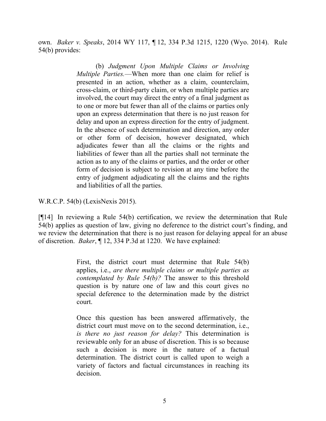own. *Baker v. Speaks*, 2014 WY 117, ¶ 12, 334 P.3d 1215, 1220 (Wyo. 2014). Rule 54(b) provides:

> (b) *Judgment Upon Multiple Claims or Involving Multiple Parties.*—When more than one claim for relief is presented in an action, whether as a claim, counterclaim, cross-claim, or third-party claim, or when multiple parties are involved, the court may direct the entry of a final judgment as to one or more but fewer than all of the claims or parties only upon an express determination that there is no just reason for delay and upon an express direction for the entry of judgment. In the absence of such determination and direction, any order or other form of decision, however designated, which adjudicates fewer than all the claims or the rights and liabilities of fewer than all the parties shall not terminate the action as to any of the claims or parties, and the order or other form of decision is subject to revision at any time before the entry of judgment adjudicating all the claims and the rights and liabilities of all the parties.

W.R.C.P. 54(b) (LexisNexis 2015).

[¶14] In reviewing a Rule 54(b) certification, we review the determination that Rule 54(b) applies as question of law, giving no deference to the district court's finding, and we review the determination that there is no just reason for delaying appeal for an abuse of discretion. *Baker*, ¶ 12, 334 P.3d at 1220. We have explained:

> First, the district court must determine that Rule 54(b) applies, i.e., *are there multiple claims or multiple parties as contemplated by Rule 54(b)?* The answer to this threshold question is by nature one of law and this court gives no special deference to the determination made by the district court.

> Once this question has been answered affirmatively, the district court must move on to the second determination, *i.e.*, *is there no just reason for delay?* This determination is reviewable only for an abuse of discretion. This is so because such a decision is more in the nature of a factual determination. The district court is called upon to weigh a variety of factors and factual circumstances in reaching its decision.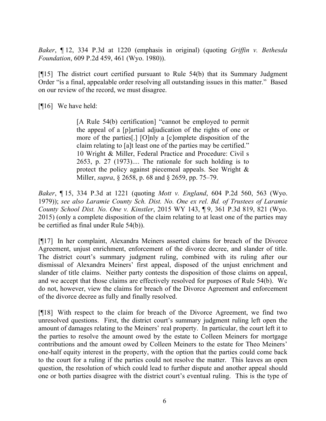*Baker*, ¶ 12, 334 P.3d at 1220 (emphasis in original) (quoting *Griffin v. Bethesda Foundation*, 609 P.2d 459, 461 (Wyo. 1980)).

[¶15] The district court certified pursuant to Rule 54(b) that its Summary Judgment Order "is a final, appealable order resolving all outstanding issues in this matter." Based on our review of the record, we must disagree.

[¶16] We have held:

[A Rule 54(b) certification] "cannot be employed to permit the appeal of a [p]artial adjudication of the rights of one or more of the parties[.] [O]nly a [c]omplete disposition of the claim relating to [a]t least one of the parties may be certified." 10 Wright & Miller, Federal Practice and Procedure: Civil s 2653, p. 27 (1973).... The rationale for such holding is to protect the policy against piecemeal appeals. See Wright & Miller, *supra*, § 2658, p. 68 and § 2659, pp. 75–79.

*Baker*, ¶ 15, 334 P.3d at 1221 (quoting *Mott v. England*, 604 P.2d 560, 563 (Wyo. 1979)); *see also Laramie County Sch. Dist. No. One ex rel. Bd. of Trustees of Laramie County School Dist. No. One v. Kinstler*, 2015 WY 143, ¶ 9, 361 P.3d 819, 821 (Wyo. 2015) (only a complete disposition of the claim relating to at least one of the parties may be certified as final under Rule 54(b)).

[¶17] In her complaint, Alexandra Meiners asserted claims for breach of the Divorce Agreement, unjust enrichment, enforcement of the divorce decree, and slander of title. The district court's summary judgment ruling, combined with its ruling after our dismissal of Alexandra Meiners' first appeal, disposed of the unjust enrichment and slander of title claims. Neither party contests the disposition of those claims on appeal, and we accept that those claims are effectively resolved for purposes of Rule 54(b). We do not, however, view the claims for breach of the Divorce Agreement and enforcement of the divorce decree as fully and finally resolved.

[¶18] With respect to the claim for breach of the Divorce Agreement, we find two unresolved questions. First, the district court's summary judgment ruling left open the amount of damages relating to the Meiners' real property. In particular, the court left it to the parties to resolve the amount owed by the estate to Colleen Meiners for mortgage contributions and the amount owed by Colleen Meiners to the estate for Theo Meiners' one-half equity interest in the property, with the option that the parties could come back to the court for a ruling if the parties could not resolve the matter. This leaves an open question, the resolution of which could lead to further dispute and another appeal should one or both parties disagree with the district court's eventual ruling. This is the type of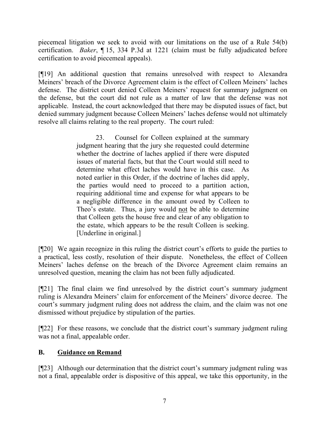piecemeal litigation we seek to avoid with our limitations on the use of a Rule 54(b) certification. *Baker*, ¶ 15, 334 P.3d at 1221 (claim must be fully adjudicated before certification to avoid piecemeal appeals).

[¶19] An additional question that remains unresolved with respect to Alexandra Meiners' breach of the Divorce Agreement claim is the effect of Colleen Meiners' laches defense. The district court denied Colleen Meiners' request for summary judgment on the defense, but the court did not rule as a matter of law that the defense was not applicable. Instead, the court acknowledged that there may be disputed issues of fact, but denied summary judgment because Colleen Meiners' laches defense would not ultimately resolve all claims relating to the real property. The court ruled:

> 23. Counsel for Colleen explained at the summary judgment hearing that the jury she requested could determine whether the doctrine of laches applied if there were disputed issues of material facts, but that the Court would still need to determine what effect laches would have in this case. As noted earlier in this Order, if the doctrine of laches did apply, the parties would need to proceed to a partition action, requiring additional time and expense for what appears to be a negligible difference in the amount owed by Colleen to Theo's estate. Thus, a jury would not be able to determine that Colleen gets the house free and clear of any obligation to the estate, which appears to be the result Colleen is seeking. [Underline in original.]

[¶20] We again recognize in this ruling the district court's efforts to guide the parties to a practical, less costly, resolution of their dispute. Nonetheless, the effect of Colleen Meiners' laches defense on the breach of the Divorce Agreement claim remains an unresolved question, meaning the claim has not been fully adjudicated.

[¶21] The final claim we find unresolved by the district court's summary judgment ruling is Alexandra Meiners' claim for enforcement of the Meiners' divorce decree. The court's summary judgment ruling does not address the claim, and the claim was not one dismissed without prejudice by stipulation of the parties.

[¶22] For these reasons, we conclude that the district court's summary judgment ruling was not a final, appealable order.

# **B. Guidance on Remand**

[¶23] Although our determination that the district court's summary judgment ruling was not a final, appealable order is dispositive of this appeal, we take this opportunity, in the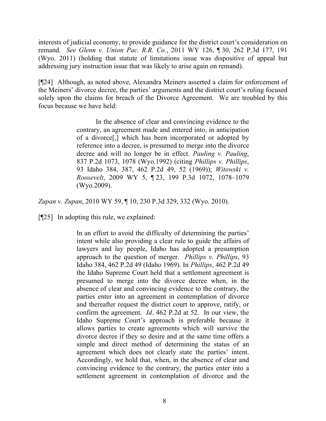interests of judicial economy, to provide guidance for the district court's consideration on remand. *See Glenn v. Union Pac. R.R. Co.*, 2011 WY 126, ¶ 30, 262 P.3d 177, 191 (Wyo. 2011) (holding that statute of limitations issue was dispositive of appeal but addressing jury instruction issue that was likely to arise again on remand).

[¶24] Although, as noted above, Alexandra Meiners asserted a claim for enforcement of the Meiners' divorce decree, the parties' arguments and the district court's ruling focused solely upon the claims for breach of the Divorce Agreement. We are troubled by this focus because we have held:

> In the absence of clear and convincing evidence to the contrary, an agreement made and entered into, in anticipation of a divorce[,] which has been incorporated or adopted by reference into a decree, is presumed to merge into the divorce decree and will no longer be in effect. *Pauling v. Pauling*, 837 P.2d 1073, 1078 (Wyo.1992) (citing *Phillips v. Phillips*, 93 Idaho 384, 387, 462 P.2d 49, 52 (1969)); *Witowski v. Roosevelt*, 2009 WY 5, ¶ 23, 199 P.3d 1072, 1078–1079 (Wyo.2009).

*Zupan v. Zupan*, 2010 WY 59, ¶ 10, 230 P.3d 329, 332 (Wyo. 2010).

[¶25] In adopting this rule, we explained:

In an effort to avoid the difficulty of determining the parties' intent while also providing a clear rule to guide the affairs of lawyers and lay people, Idaho has adopted a presumption approach to the question of merger. *Phillips v. Phillips*, 93 Idaho 384, 462 P.2d 49 (Idaho 1969). In *Phillips*, 462 P.2d 49 the Idaho Supreme Court held that a settlement agreement is presumed to merge into the divorce decree when, in the absence of clear and convincing evidence to the contrary, the parties enter into an agreement in contemplation of divorce and thereafter request the district court to approve, ratify, or confirm the agreement. *Id*. 462 P.2d at 52. In our view, the Idaho Supreme Court's approach is preferable because it allows parties to create agreements which will survive the divorce decree if they so desire and at the same time offers a simple and direct method of determining the status of an agreement which does not clearly state the parties' intent. Accordingly, we hold that, when, in the absence of clear and convincing evidence to the contrary, the parties enter into a settlement agreement in contemplation of divorce and the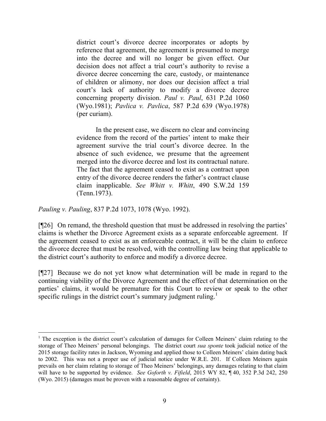district court's divorce decree incorporates or adopts by reference that agreement, the agreement is presumed to merge into the decree and will no longer be given effect. Our decision does not affect a trial court's authority to revise a divorce decree concerning the care, custody, or maintenance of children or alimony, nor does our decision affect a trial court's lack of authority to modify a divorce decree concerning property division. *Paul v. Paul*, 631 P.2d 1060 (Wyo.1981); *Pavlica v. Pavlica*, 587 P.2d 639 (Wyo.1978) (per curiam).

In the present case, we discern no clear and convincing evidence from the record of the parties' intent to make their agreement survive the trial court's divorce decree. In the absence of such evidence, we presume that the agreement merged into the divorce decree and lost its contractual nature. The fact that the agreement ceased to exist as a contract upon entry of the divorce decree renders the father's contract clause claim inapplicable. *See Whitt v. Whitt*, 490 S.W.2d 159 (Tenn.1973).

*Pauling v. Pauling*, 837 P.2d 1073, 1078 (Wyo. 1992).

l

[¶26] On remand, the threshold question that must be addressed in resolving the parties' claims is whether the Divorce Agreement exists as a separate enforceable agreement. If the agreement ceased to exist as an enforceable contract, it will be the claim to enforce the divorce decree that must be resolved, with the controlling law being that applicable to the district court's authority to enforce and modify a divorce decree.

[¶27] Because we do not yet know what determination will be made in regard to the continuing viability of the Divorce Agreement and the effect of that determination on the parties' claims, it would be premature for this Court to review or speak to the other specific rulings in the district court's summary judgment ruling.<sup>1</sup>

<sup>&</sup>lt;sup>1</sup> The exception is the district court's calculation of damages for Colleen Meiners' claim relating to the storage of Theo Meiners' personal belongings. The district court *sua sponte* took judicial notice of the 2015 storage facility rates in Jackson, Wyoming and applied those to Colleen Meiners' claim dating back to 2002. This was not a proper use of judicial notice under W.R.E. 201. If Colleen Meiners again prevails on her claim relating to storage of Theo Meiners' belongings, any damages relating to that claim will have to be supported by evidence. *See Goforth v. Fifield*, 2015 WY 82, ¶ 40, 352 P.3d 242, 250 (Wyo. 2015) (damages must be proven with a reasonable degree of certainty).